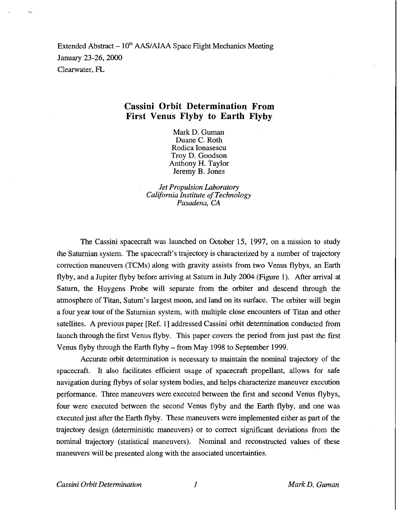Extended Abstract  $-10<sup>th</sup>$  AAS/AIAA Space Flight Mechanics Meeting January 23-26,2000 Clearwater, FL

## **Cassini Orbit Determination From First Venus Flyby to Earth Flyby**

Mark D. Guman Duane C. Roth Rodica Ionasescu Troy D. Goodson Anthony H. Taylor Jeremy B. Jones

*Jet Propulsion Laboratory California Institute of Technology Pasadena, CA* 

The Cassini spacecraft was launched on October 15, 1997, on a mission to study the Saturnian system. The spacecraft's trajectory is characterized by a number of trajectory correction maneuvers (TCMs) along with gravity assists from two Venus flybys, an Earth flyby, and a Jupiter flyby before arriving at Saturn in July 2004 (Figure 1). After arrival at Saturn, the Huygens Probe will separate from the orbiter and descend through the atmosphere of Titan, Saturn's largest moon, and land on its surface. The orbiter will begin a four year tour of the Saturnian system, with multiple close encounters of Titan and other satellites. A previous paper [Ref. 1] addressed Cassini orbit determination conducted from launch through the first Venus flyby. This paper covers the period from just past the first Venus flyby through the Earth flyby - from May 1998 to September 1999.

Accurate orbit determination is necessary to maintain the nominal trajectory of the spacecraft. It also facilitates efficient usage of spacecraft propellant, allows for safe navigation during flybys of solar system bodies, and helps characterize maneuver execution performance. Three maneuvers were executed between the first and second Venus flybys, four were executed between the second Venus flyby and the Earth flyby, and one was executed just after the Earth flyby. These maneuvers were implemented either as part of the trajectory design (deterministic maneuvers) or to correct significant deviations from the nominal trajectory (statistical maneuvers). Nominal and reconstructed values of these maneuvers will be presented along with the associated uncertainties.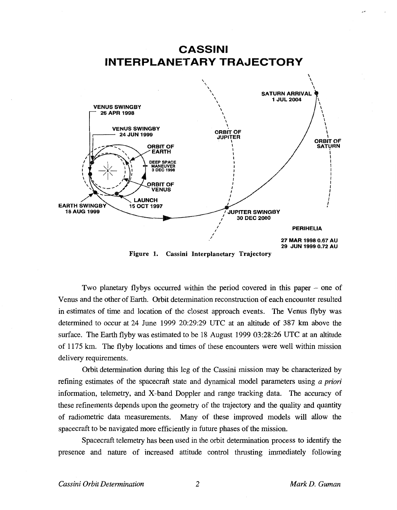

**Figure 1. Cassini Interplanetary Trajectory** 

Two planetary flybys occurred within the period covered in this paper – one of Venus and the other of Earth. Orbit determination reconstruction of each encounter resulted in estimates of time and location of the closest approach events. The Venus flyby was determined to occur at 24 June 1999 20:29:29 UTC at an altitude of 387 km above the surface. The Earth flyby was estimated to be 18 August 1999 03:28:26 UTC at an altitude of 1175 km. The flyby locations and times of these encounters were well within mission delivery requirements.

Orbit determination during this leg of the Cassini mission may be characterized by refining estimates of the spacecraft state and dynamical model parameters using *a priori*  information, telemetry, and X-band Doppler and range tracking data. The accuracy of these refinements depends upon the geometry of the trajectory and the quality and quantity of radiometric data measurements. Many of these improved models will allow the spacecraft to be navigated more efficiently in future phases of the mission.

Spacecraft telemetry has been used in the orbit determination process to identify the presence and nature of increased attitude control thrusting immediately following